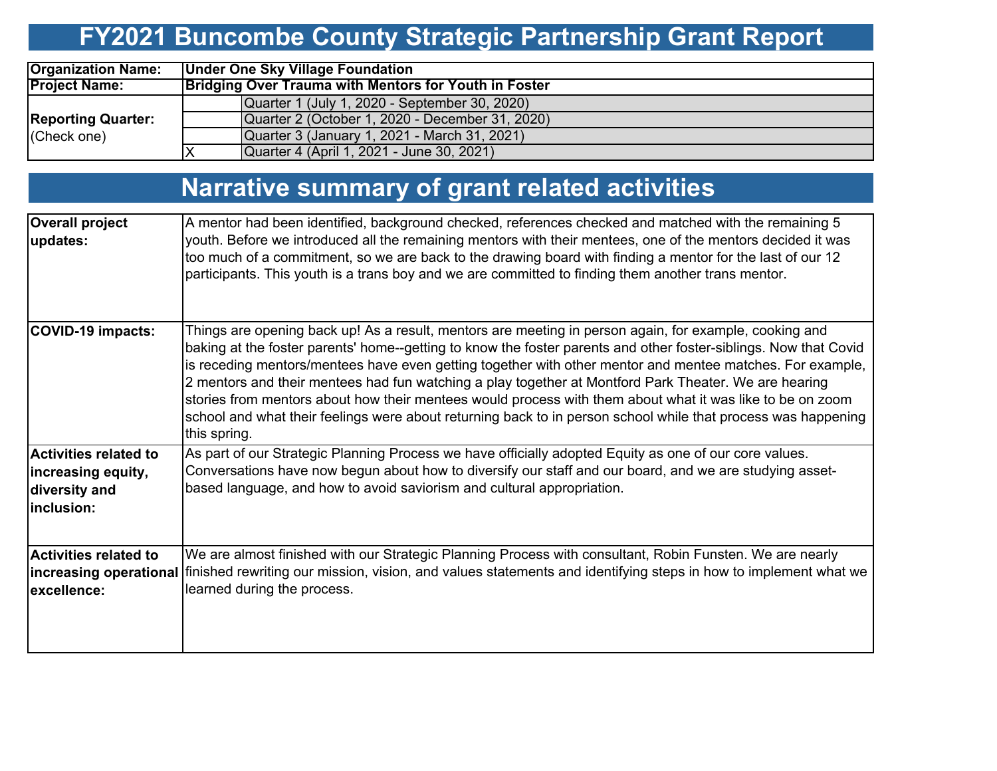# **FY2021 Buncombe County Strategic Partnership Grant Report**

| <b>Organization Name:</b>                | <b>Under One Sky Village Foundation</b>                      |  |  |  |  |  |  |  |  |
|------------------------------------------|--------------------------------------------------------------|--|--|--|--|--|--|--|--|
| <b>Project Name:</b>                     | <b>Bridging Over Trauma with Mentors for Youth in Foster</b> |  |  |  |  |  |  |  |  |
|                                          | Quarter 1 (July 1, 2020 - September 30, 2020)                |  |  |  |  |  |  |  |  |
| <b>Reporting Quarter:</b><br>(Check one) | Quarter 2 (October 1, 2020 - December 31, 2020)              |  |  |  |  |  |  |  |  |
|                                          | Quarter 3 (January 1, 2021 - March 31, 2021)                 |  |  |  |  |  |  |  |  |
|                                          | Quarter 4 (April 1, 2021 - June 30, 2021)                    |  |  |  |  |  |  |  |  |

## **Narrative summary of grant related activities**

| <b>Overall project</b><br>updates:                                                | A mentor had been identified, background checked, references checked and matched with the remaining 5<br>youth. Before we introduced all the remaining mentors with their mentees, one of the mentors decided it was<br>too much of a commitment, so we are back to the drawing board with finding a mentor for the last of our 12<br>participants. This youth is a trans boy and we are committed to finding them another trans mentor.                                                                                                                                                                                                                                                       |
|-----------------------------------------------------------------------------------|------------------------------------------------------------------------------------------------------------------------------------------------------------------------------------------------------------------------------------------------------------------------------------------------------------------------------------------------------------------------------------------------------------------------------------------------------------------------------------------------------------------------------------------------------------------------------------------------------------------------------------------------------------------------------------------------|
| COVID-19 impacts:                                                                 | Things are opening back up! As a result, mentors are meeting in person again, for example, cooking and<br>baking at the foster parents' home--getting to know the foster parents and other foster-siblings. Now that Covid<br>is receding mentors/mentees have even getting together with other mentor and mentee matches. For example,<br>2 mentors and their mentees had fun watching a play together at Montford Park Theater. We are hearing<br>stories from mentors about how their mentees would process with them about what it was like to be on zoom<br>school and what their feelings were about returning back to in person school while that process was happening<br>this spring. |
| <b>Activities related to</b><br>increasing equity,<br>diversity and<br>inclusion: | As part of our Strategic Planning Process we have officially adopted Equity as one of our core values.<br>Conversations have now begun about how to diversify our staff and our board, and we are studying asset-<br>based language, and how to avoid saviorism and cultural appropriation.                                                                                                                                                                                                                                                                                                                                                                                                    |
| Activities related to<br>excellence:                                              | We are almost finished with our Strategic Planning Process with consultant, Robin Funsten. We are nearly<br>increasing operational finished rewriting our mission, vision, and values statements and identifying steps in how to implement what we<br>learned during the process.                                                                                                                                                                                                                                                                                                                                                                                                              |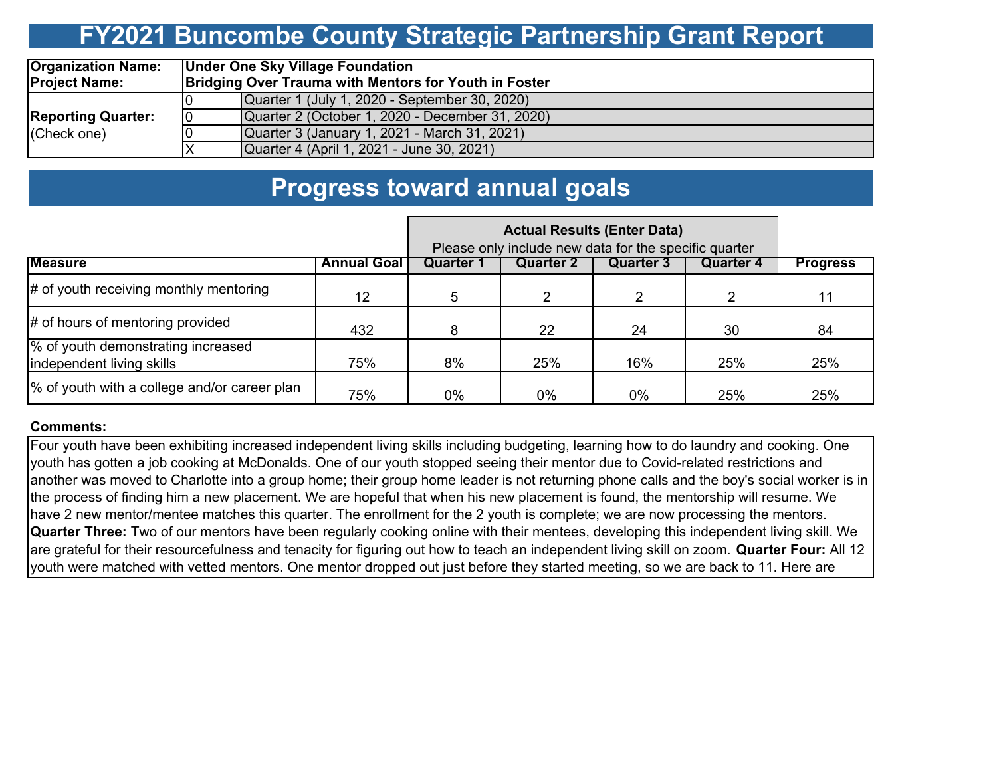## **FY2021 Buncombe County Strategic Partnership Grant Report**

| <b>Organization Name:</b> | <b>Under One Sky Village Foundation</b> |                                                              |  |  |  |  |  |  |  |  |
|---------------------------|-----------------------------------------|--------------------------------------------------------------|--|--|--|--|--|--|--|--|
| <b>Project Name:</b>      |                                         | <b>Bridging Over Trauma with Mentors for Youth in Foster</b> |  |  |  |  |  |  |  |  |
|                           |                                         | Quarter 1 (July 1, 2020 - September 30, 2020)                |  |  |  |  |  |  |  |  |
| <b>Reporting Quarter:</b> | 10                                      | Quarter 2 (October 1, 2020 - December 31, 2020)              |  |  |  |  |  |  |  |  |
| (Check one)               |                                         | Quarter 3 (January 1, 2021 - March 31, 2021)                 |  |  |  |  |  |  |  |  |
|                           |                                         | Quarter 4 (April 1, 2021 - June 30, 2021)                    |  |  |  |  |  |  |  |  |

### **Progress toward annual goals**

|                                                                 |                    | Please only include new data for the specific quarter |                  |                  |           |                 |
|-----------------------------------------------------------------|--------------------|-------------------------------------------------------|------------------|------------------|-----------|-----------------|
| <b>Measure</b>                                                  | <b>Annual Goal</b> | Quarter ′                                             | <b>Quarter 2</b> | <b>Quarter 3</b> | Quarter 4 | <b>Progress</b> |
| $\#$ of youth receiving monthly mentoring                       | 12                 | 5.                                                    |                  | 2                |           | 11              |
| $\#$ of hours of mentoring provided                             | 432                |                                                       | 22               | 24               | 30        | 84              |
| % of youth demonstrating increased<br>independent living skills | 75%                | 8%                                                    | 25%              | 16%              | 25%       | 25%             |
| % of youth with a college and/or career plan                    | 75%                | 0%                                                    | 0%               | 0%               | 25%       | 25%             |

#### **Comments:**

Four youth have been exhibiting increased independent living skills including budgeting, learning how to do laundry and cooking. One youth has gotten a job cooking at McDonalds. One of our youth stopped seeing their mentor due to Covid-related restrictions and another was moved to Charlotte into a group home; their group home leader is not returning phone calls and the boy's social worker is in the process of finding him a new placement. We are hopeful that when his new placement is found, the mentorship will resume. We have 2 new mentor/mentee matches this quarter. The enrollment for the 2 youth is complete; we are now processing the mentors. **Quarter Three:** Two of our mentors have been regularly cooking online with their mentees, developing this independent living skill. We are grateful for their resourcefulness and tenacity for figuring out how to teach an independent living skill on zoom. **Quarter Four:** All 12 youth were matched with vetted mentors. One mentor dropped out just before they started meeting, so we are back to 11. Here are